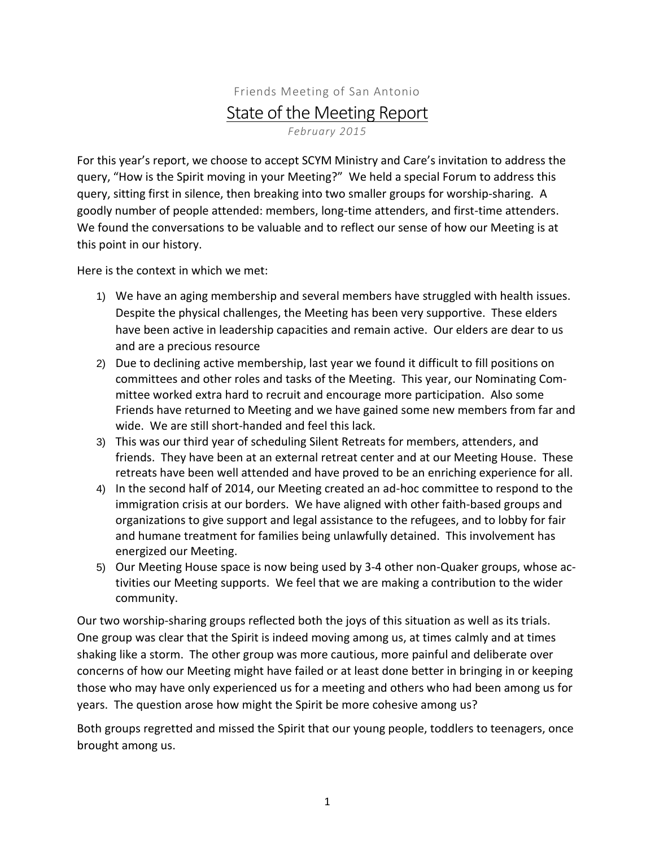## Friends Meeting of San Antonio State of the Meeting Report *February 2015*

For this year's report, we choose to accept SCYM Ministry and Care's invitation to address the query, "How is the Spirit moving in your Meeting?" We held a special Forum to address this query, sitting first in silence, then breaking into two smaller groups for worship-sharing. A goodly number of people attended: members, long-time attenders, and first-time attenders. We found the conversations to be valuable and to reflect our sense of how our Meeting is at this point in our history.

Here is the context in which we met:

- 1) We have an aging membership and several members have struggled with health issues. Despite the physical challenges, the Meeting has been very supportive. These elders have been active in leadership capacities and remain active. Our elders are dear to us and are a precious resource
- 2) Due to declining active membership, last year we found it difficult to fill positions on committees and other roles and tasks of the Meeting. This year, our Nominating Committee worked extra hard to recruit and encourage more participation. Also some Friends have returned to Meeting and we have gained some new members from far and wide. We are still short-handed and feel this lack.
- 3) This was our third year of scheduling Silent Retreats for members, attenders, and friends. They have been at an external retreat center and at our Meeting House. These retreats have been well attended and have proved to be an enriching experience for all.
- 4) In the second half of 2014, our Meeting created an ad-hoc committee to respond to the immigration crisis at our borders. We have aligned with other faith-based groups and organizations to give support and legal assistance to the refugees, and to lobby for fair and humane treatment for families being unlawfully detained. This involvement has energized our Meeting.
- 5) Our Meeting House space is now being used by 3-4 other non-Quaker groups, whose activities our Meeting supports. We feel that we are making a contribution to the wider community.

Our two worship-sharing groups reflected both the joys of this situation as well as its trials. One group was clear that the Spirit is indeed moving among us, at times calmly and at times shaking like a storm. The other group was more cautious, more painful and deliberate over concerns of how our Meeting might have failed or at least done better in bringing in or keeping those who may have only experienced us for a meeting and others who had been among us for years. The question arose how might the Spirit be more cohesive among us?

Both groups regretted and missed the Spirit that our young people, toddlers to teenagers, once brought among us.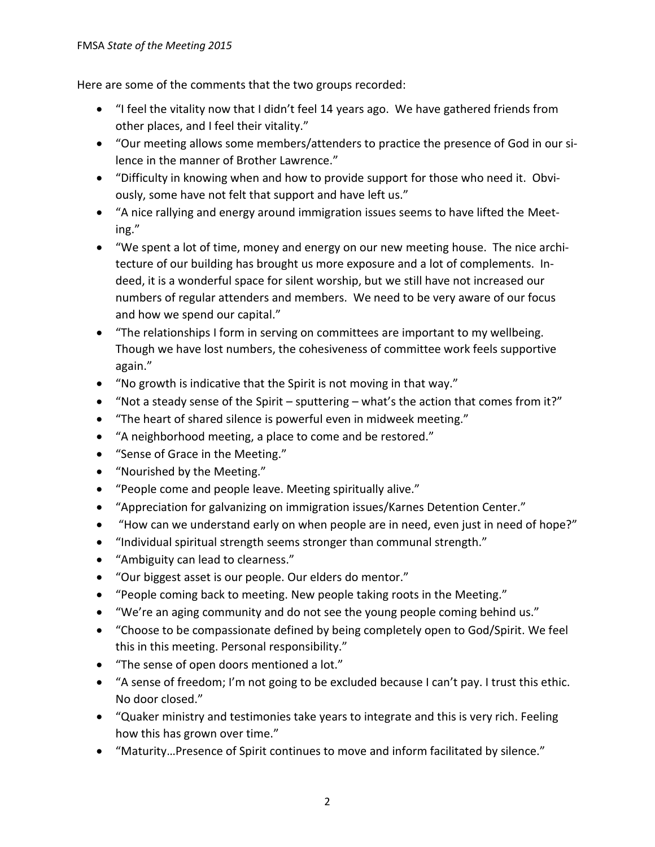Here are some of the comments that the two groups recorded:

- "I feel the vitality now that I didn't feel 14 years ago. We have gathered friends from other places, and I feel their vitality."
- "Our meeting allows some members/attenders to practice the presence of God in our silence in the manner of Brother Lawrence."
- "Difficulty in knowing when and how to provide support for those who need it. Obviously, some have not felt that support and have left us."
- "A nice rallying and energy around immigration issues seems to have lifted the Meeting."
- "We spent a lot of time, money and energy on our new meeting house. The nice architecture of our building has brought us more exposure and a lot of complements. Indeed, it is a wonderful space for silent worship, but we still have not increased our numbers of regular attenders and members. We need to be very aware of our focus and how we spend our capital."
- "The relationships I form in serving on committees are important to my wellbeing. Though we have lost numbers, the cohesiveness of committee work feels supportive again."
- "No growth is indicative that the Spirit is not moving in that way."
- "Not a steady sense of the Spirit sputtering what's the action that comes from it?"
- "The heart of shared silence is powerful even in midweek meeting."
- "A neighborhood meeting, a place to come and be restored."
- "Sense of Grace in the Meeting."
- "Nourished by the Meeting."
- "People come and people leave. Meeting spiritually alive."
- "Appreciation for galvanizing on immigration issues/Karnes Detention Center."
- "How can we understand early on when people are in need, even just in need of hope?"
- "Individual spiritual strength seems stronger than communal strength."
- "Ambiguity can lead to clearness."
- "Our biggest asset is our people. Our elders do mentor."
- "People coming back to meeting. New people taking roots in the Meeting."
- "We're an aging community and do not see the young people coming behind us."
- "Choose to be compassionate defined by being completely open to God/Spirit. We feel this in this meeting. Personal responsibility."
- "The sense of open doors mentioned a lot."
- "A sense of freedom; I'm not going to be excluded because I can't pay. I trust this ethic. No door closed."
- "Quaker ministry and testimonies take years to integrate and this is very rich. Feeling how this has grown over time."
- "Maturity…Presence of Spirit continues to move and inform facilitated by silence."